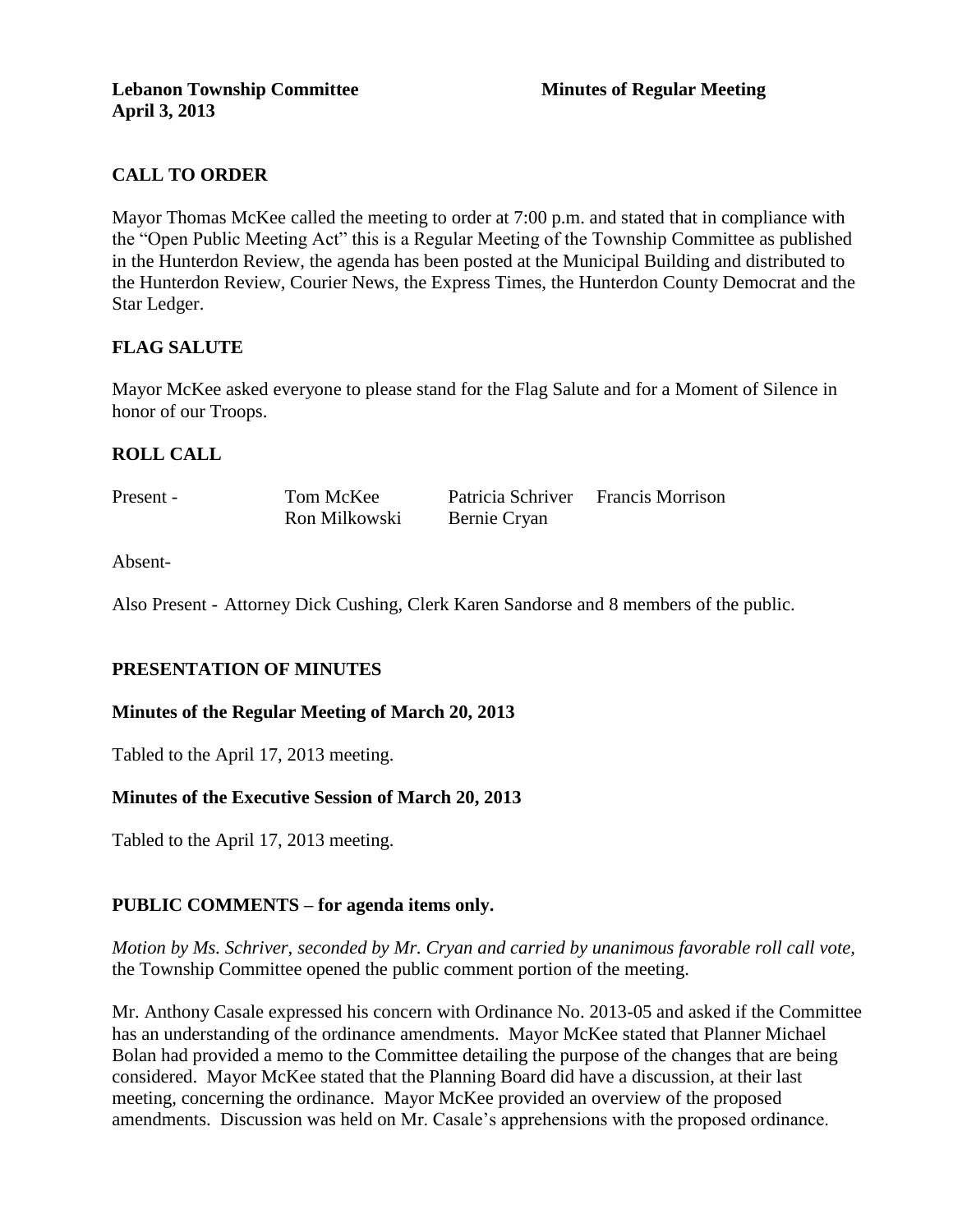# **CALL TO ORDER**

Mayor Thomas McKee called the meeting to order at 7:00 p.m. and stated that in compliance with the "Open Public Meeting Act" this is a Regular Meeting of the Township Committee as published in the Hunterdon Review, the agenda has been posted at the Municipal Building and distributed to the Hunterdon Review, Courier News, the Express Times, the Hunterdon County Democrat and the Star Ledger.

# **FLAG SALUTE**

Mayor McKee asked everyone to please stand for the Flag Salute and for a Moment of Silence in honor of our Troops.

# **ROLL CALL**

| Present - | Tom McKee     | Patricia Schriver Francis Morrison |  |
|-----------|---------------|------------------------------------|--|
|           | Ron Milkowski | Bernie Cryan                       |  |

Absent-

Also Present - Attorney Dick Cushing, Clerk Karen Sandorse and 8 members of the public.

# **PRESENTATION OF MINUTES**

#### **Minutes of the Regular Meeting of March 20, 2013**

Tabled to the April 17, 2013 meeting.

# **Minutes of the Executive Session of March 20, 2013**

Tabled to the April 17, 2013 meeting.

# **PUBLIC COMMENTS – for agenda items only.**

*Motion by Ms. Schriver, seconded by Mr. Cryan and carried by unanimous favorable roll call vote,* the Township Committee opened the public comment portion of the meeting.

Mr. Anthony Casale expressed his concern with Ordinance No. 2013-05 and asked if the Committee has an understanding of the ordinance amendments. Mayor McKee stated that Planner Michael Bolan had provided a memo to the Committee detailing the purpose of the changes that are being considered. Mayor McKee stated that the Planning Board did have a discussion, at their last meeting, concerning the ordinance. Mayor McKee provided an overview of the proposed amendments. Discussion was held on Mr. Casale's apprehensions with the proposed ordinance.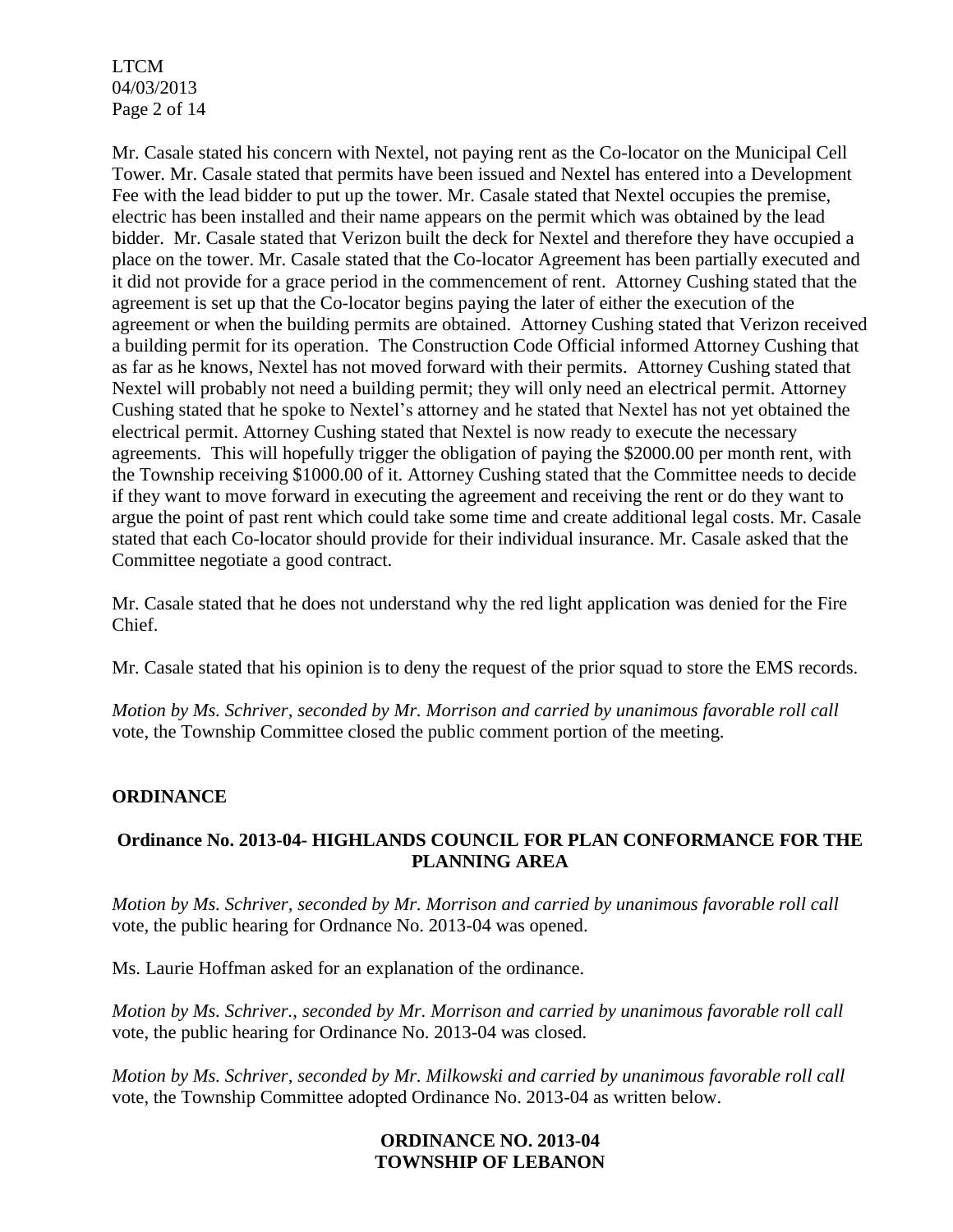LTCM 04/03/2013 Page 2 of 14

Mr. Casale stated his concern with Nextel, not paying rent as the Co-locator on the Municipal Cell Tower. Mr. Casale stated that permits have been issued and Nextel has entered into a Development Fee with the lead bidder to put up the tower. Mr. Casale stated that Nextel occupies the premise, electric has been installed and their name appears on the permit which was obtained by the lead bidder. Mr. Casale stated that Verizon built the deck for Nextel and therefore they have occupied a place on the tower. Mr. Casale stated that the Co-locator Agreement has been partially executed and it did not provide for a grace period in the commencement of rent. Attorney Cushing stated that the agreement is set up that the Co-locator begins paying the later of either the execution of the agreement or when the building permits are obtained. Attorney Cushing stated that Verizon received a building permit for its operation. The Construction Code Official informed Attorney Cushing that as far as he knows, Nextel has not moved forward with their permits. Attorney Cushing stated that Nextel will probably not need a building permit; they will only need an electrical permit. Attorney Cushing stated that he spoke to Nextel's attorney and he stated that Nextel has not yet obtained the electrical permit. Attorney Cushing stated that Nextel is now ready to execute the necessary agreements. This will hopefully trigger the obligation of paying the \$2000.00 per month rent, with the Township receiving \$1000.00 of it. Attorney Cushing stated that the Committee needs to decide if they want to move forward in executing the agreement and receiving the rent or do they want to argue the point of past rent which could take some time and create additional legal costs. Mr. Casale stated that each Co-locator should provide for their individual insurance. Mr. Casale asked that the Committee negotiate a good contract.

Mr. Casale stated that he does not understand why the red light application was denied for the Fire Chief.

Mr. Casale stated that his opinion is to deny the request of the prior squad to store the EMS records.

*Motion by Ms. Schriver, seconded by Mr. Morrison and carried by unanimous favorable roll call*  vote, the Township Committee closed the public comment portion of the meeting.

# **ORDINANCE**

# **Ordinance No. 2013-04- HIGHLANDS COUNCIL FOR PLAN CONFORMANCE FOR THE PLANNING AREA**

*Motion by Ms. Schriver, seconded by Mr. Morrison and carried by unanimous favorable roll call*  vote*,* the public hearing for Ordnance No. 2013-04 was opened.

Ms. Laurie Hoffman asked for an explanation of the ordinance.

*Motion by Ms. Schriver., seconded by Mr. Morrison and carried by unanimous favorable roll call*  vote, the public hearing for Ordinance No. 2013-04 was closed.

*Motion by Ms. Schriver, seconded by Mr. Milkowski and carried by unanimous favorable roll call*  vote, the Township Committee adopted Ordinance No. 2013-04 as written below.

#### **ORDINANCE NO. 2013-04 TOWNSHIP OF LEBANON**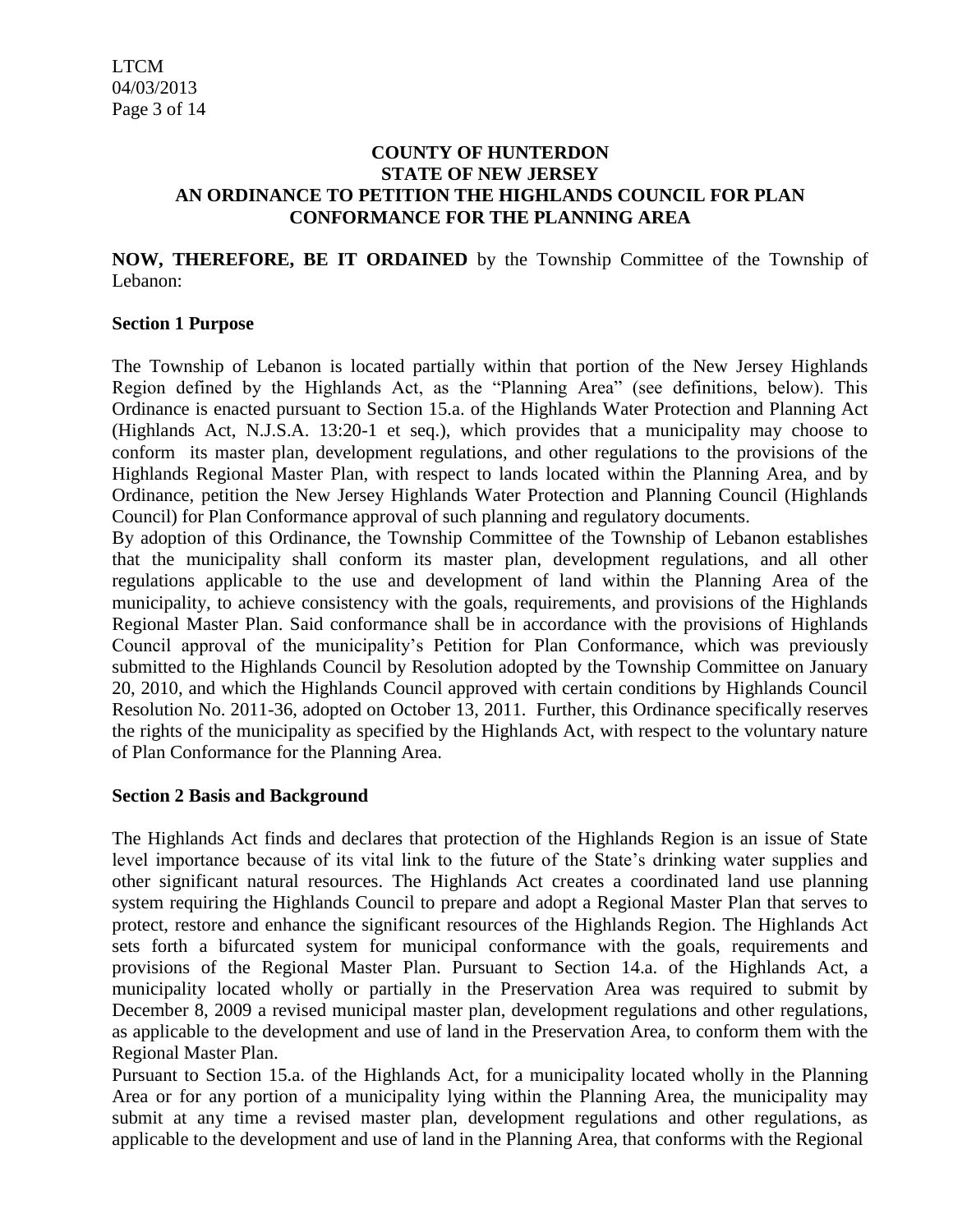#### **COUNTY OF HUNTERDON STATE OF NEW JERSEY AN ORDINANCE TO PETITION THE HIGHLANDS COUNCIL FOR PLAN CONFORMANCE FOR THE PLANNING AREA**

**NOW, THEREFORE, BE IT ORDAINED** by the Township Committee of the Township of Lebanon:

#### **Section 1 Purpose**

The Township of Lebanon is located partially within that portion of the New Jersey Highlands Region defined by the Highlands Act, as the "Planning Area" (see definitions, below). This Ordinance is enacted pursuant to Section 15.a. of the Highlands Water Protection and Planning Act (Highlands Act, N.J.S.A. 13:20-1 et seq.), which provides that a municipality may choose to conform its master plan, development regulations, and other regulations to the provisions of the Highlands Regional Master Plan, with respect to lands located within the Planning Area, and by Ordinance, petition the New Jersey Highlands Water Protection and Planning Council (Highlands Council) for Plan Conformance approval of such planning and regulatory documents.

By adoption of this Ordinance, the Township Committee of the Township of Lebanon establishes that the municipality shall conform its master plan, development regulations, and all other regulations applicable to the use and development of land within the Planning Area of the municipality, to achieve consistency with the goals, requirements, and provisions of the Highlands Regional Master Plan. Said conformance shall be in accordance with the provisions of Highlands Council approval of the municipality's Petition for Plan Conformance, which was previously submitted to the Highlands Council by Resolution adopted by the Township Committee on January 20, 2010, and which the Highlands Council approved with certain conditions by Highlands Council Resolution No. 2011-36, adopted on October 13, 2011. Further, this Ordinance specifically reserves the rights of the municipality as specified by the Highlands Act, with respect to the voluntary nature of Plan Conformance for the Planning Area.

# **Section 2 Basis and Background**

The Highlands Act finds and declares that protection of the Highlands Region is an issue of State level importance because of its vital link to the future of the State's drinking water supplies and other significant natural resources. The Highlands Act creates a coordinated land use planning system requiring the Highlands Council to prepare and adopt a Regional Master Plan that serves to protect, restore and enhance the significant resources of the Highlands Region. The Highlands Act sets forth a bifurcated system for municipal conformance with the goals, requirements and provisions of the Regional Master Plan. Pursuant to Section 14.a. of the Highlands Act, a municipality located wholly or partially in the Preservation Area was required to submit by December 8, 2009 a revised municipal master plan, development regulations and other regulations, as applicable to the development and use of land in the Preservation Area, to conform them with the Regional Master Plan.

Pursuant to Section 15.a. of the Highlands Act, for a municipality located wholly in the Planning Area or for any portion of a municipality lying within the Planning Area, the municipality may submit at any time a revised master plan, development regulations and other regulations, as applicable to the development and use of land in the Planning Area, that conforms with the Regional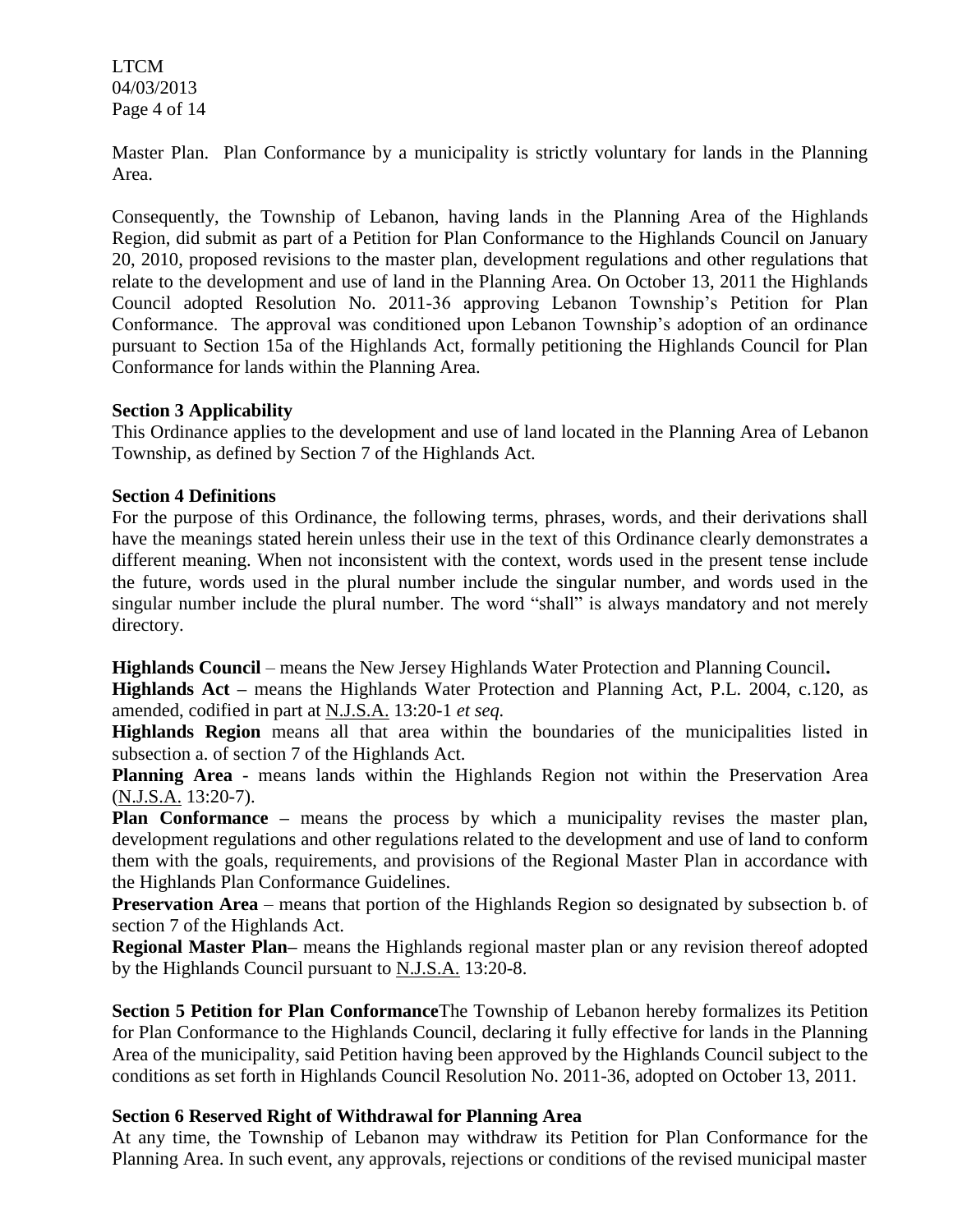LTCM 04/03/2013 Page 4 of 14

Master Plan. Plan Conformance by a municipality is strictly voluntary for lands in the Planning Area.

Consequently, the Township of Lebanon, having lands in the Planning Area of the Highlands Region, did submit as part of a Petition for Plan Conformance to the Highlands Council on January 20, 2010, proposed revisions to the master plan, development regulations and other regulations that relate to the development and use of land in the Planning Area. On October 13, 2011 the Highlands Council adopted Resolution No. 2011-36 approving Lebanon Township's Petition for Plan Conformance. The approval was conditioned upon Lebanon Township's adoption of an ordinance pursuant to Section 15a of the Highlands Act, formally petitioning the Highlands Council for Plan Conformance for lands within the Planning Area.

#### **Section 3 Applicability**

This Ordinance applies to the development and use of land located in the Planning Area of Lebanon Township, as defined by Section 7 of the Highlands Act.

#### **Section 4 Definitions**

For the purpose of this Ordinance, the following terms, phrases, words, and their derivations shall have the meanings stated herein unless their use in the text of this Ordinance clearly demonstrates a different meaning. When not inconsistent with the context, words used in the present tense include the future, words used in the plural number include the singular number, and words used in the singular number include the plural number. The word "shall" is always mandatory and not merely directory.

**Highlands Council** – means the New Jersey Highlands Water Protection and Planning Council**.** 

**Highlands Act –** means the Highlands Water Protection and Planning Act, P.L. 2004, c.120, as amended, codified in part at N.J.S.A. 13:20-1 *et seq.*

**Highlands Region** means all that area within the boundaries of the municipalities listed in subsection a. of section 7 of the Highlands Act.

**Planning Area** - means lands within the Highlands Region not within the Preservation Area (N.J.S.A. 13:20-7).

**Plan Conformance –** means the process by which a municipality revises the master plan, development regulations and other regulations related to the development and use of land to conform them with the goals, requirements, and provisions of the Regional Master Plan in accordance with the Highlands Plan Conformance Guidelines.

**Preservation Area** – means that portion of the Highlands Region so designated by subsection b. of section 7 of the Highlands Act.

**Regional Master Plan–** means the Highlands regional master plan or any revision thereof adopted by the Highlands Council pursuant to N.J.S.A. 13:20-8.

**Section 5 Petition for Plan Conformance**The Township of Lebanon hereby formalizes its Petition for Plan Conformance to the Highlands Council, declaring it fully effective for lands in the Planning Area of the municipality, said Petition having been approved by the Highlands Council subject to the conditions as set forth in Highlands Council Resolution No. 2011-36, adopted on October 13, 2011.

# **Section 6 Reserved Right of Withdrawal for Planning Area**

At any time, the Township of Lebanon may withdraw its Petition for Plan Conformance for the Planning Area. In such event, any approvals, rejections or conditions of the revised municipal master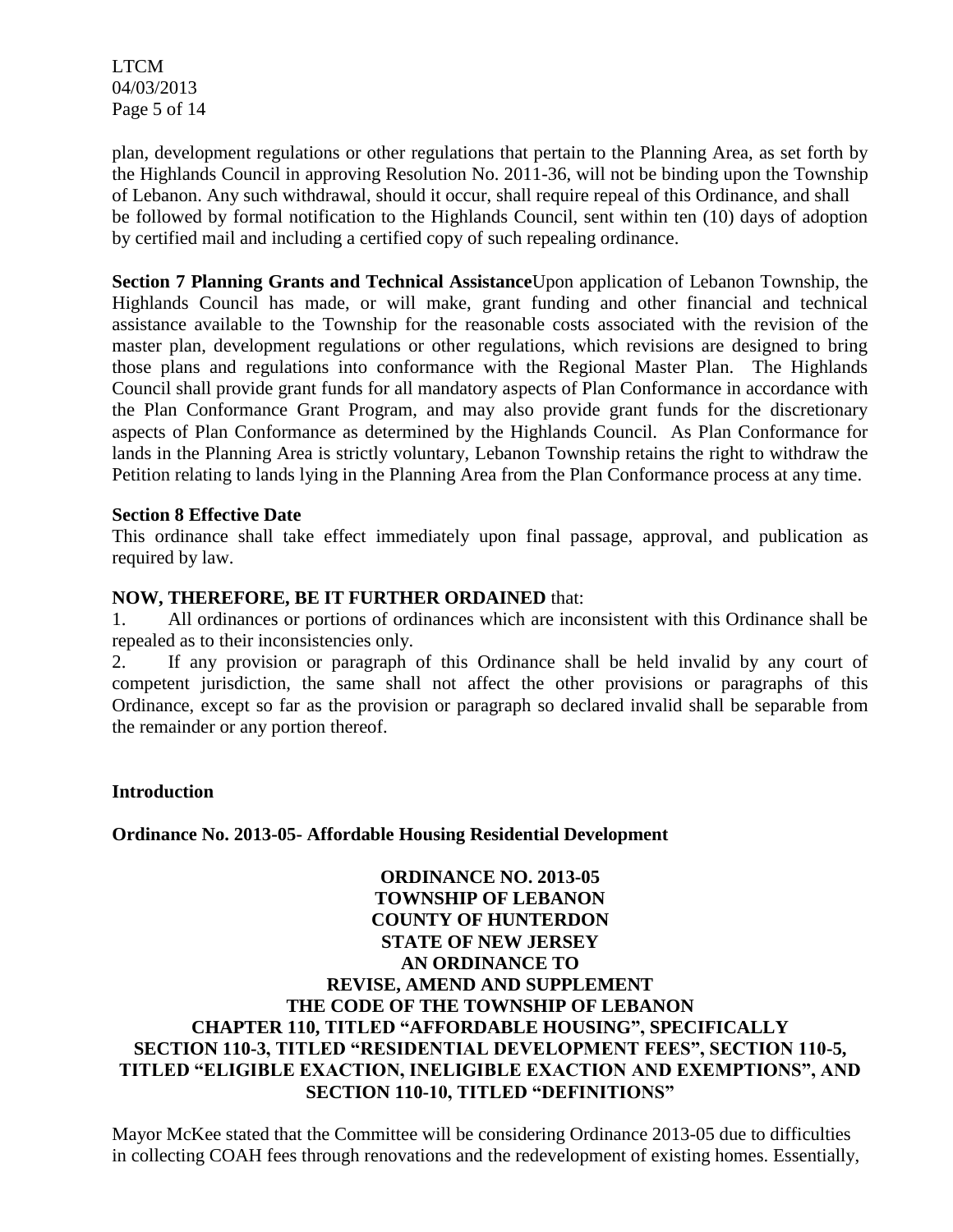LTCM 04/03/2013 Page 5 of 14

plan, development regulations or other regulations that pertain to the Planning Area, as set forth by the Highlands Council in approving Resolution No. 2011-36, will not be binding upon the Township of Lebanon. Any such withdrawal, should it occur, shall require repeal of this Ordinance, and shall be followed by formal notification to the Highlands Council, sent within ten (10) days of adoption by certified mail and including a certified copy of such repealing ordinance.

**Section 7 Planning Grants and Technical Assistance**Upon application of Lebanon Township, the Highlands Council has made, or will make, grant funding and other financial and technical assistance available to the Township for the reasonable costs associated with the revision of the master plan, development regulations or other regulations, which revisions are designed to bring those plans and regulations into conformance with the Regional Master Plan. The Highlands Council shall provide grant funds for all mandatory aspects of Plan Conformance in accordance with the Plan Conformance Grant Program, and may also provide grant funds for the discretionary aspects of Plan Conformance as determined by the Highlands Council. As Plan Conformance for lands in the Planning Area is strictly voluntary, Lebanon Township retains the right to withdraw the Petition relating to lands lying in the Planning Area from the Plan Conformance process at any time.

#### **Section 8 Effective Date**

This ordinance shall take effect immediately upon final passage, approval, and publication as required by law.

#### **NOW, THEREFORE, BE IT FURTHER ORDAINED** that:

1. All ordinances or portions of ordinances which are inconsistent with this Ordinance shall be repealed as to their inconsistencies only.

2. If any provision or paragraph of this Ordinance shall be held invalid by any court of competent jurisdiction, the same shall not affect the other provisions or paragraphs of this Ordinance, except so far as the provision or paragraph so declared invalid shall be separable from the remainder or any portion thereof.

#### **Introduction**

**Ordinance No. 2013-05- Affordable Housing Residential Development** 

# **ORDINANCE NO. 2013-05 TOWNSHIP OF LEBANON COUNTY OF HUNTERDON STATE OF NEW JERSEY AN ORDINANCE TO REVISE, AMEND AND SUPPLEMENT THE CODE OF THE TOWNSHIP OF LEBANON CHAPTER 110, TITLED "AFFORDABLE HOUSING", SPECIFICALLY SECTION 110-3, TITLED "RESIDENTIAL DEVELOPMENT FEES", SECTION 110-5, TITLED "ELIGIBLE EXACTION, INELIGIBLE EXACTION AND EXEMPTIONS", AND SECTION 110-10, TITLED "DEFINITIONS"**

Mayor McKee stated that the Committee will be considering Ordinance 2013-05 due to difficulties in collecting COAH fees through renovations and the redevelopment of existing homes. Essentially,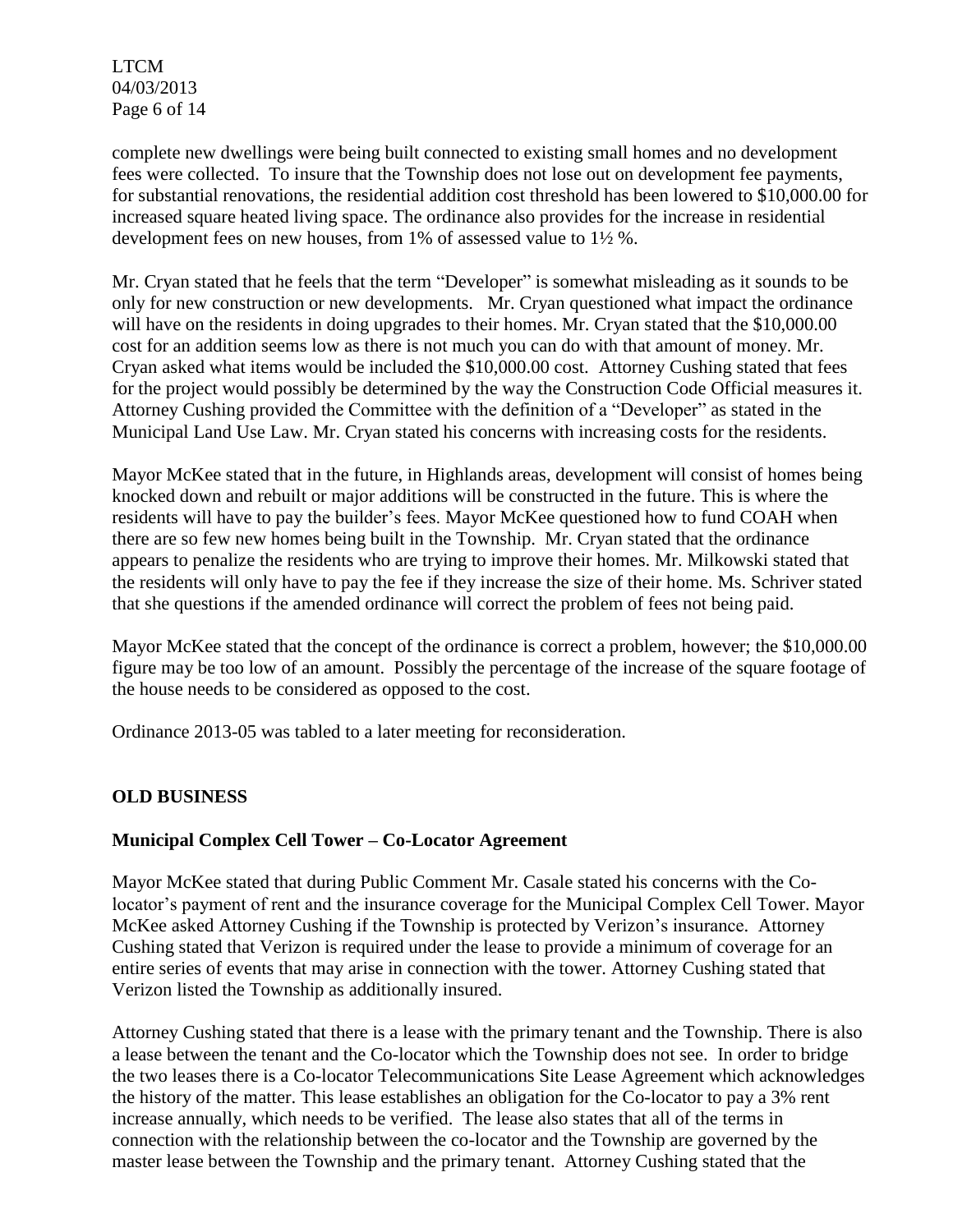LTCM 04/03/2013 Page 6 of 14

complete new dwellings were being built connected to existing small homes and no development fees were collected. To insure that the Township does not lose out on development fee payments, for substantial renovations, the residential addition cost threshold has been lowered to \$10,000.00 for increased square heated living space. The ordinance also provides for the increase in residential development fees on new houses, from 1% of assessed value to 1½ %.

Mr. Cryan stated that he feels that the term "Developer" is somewhat misleading as it sounds to be only for new construction or new developments. Mr. Cryan questioned what impact the ordinance will have on the residents in doing upgrades to their homes. Mr. Cryan stated that the \$10,000.00 cost for an addition seems low as there is not much you can do with that amount of money. Mr. Cryan asked what items would be included the \$10,000.00 cost. Attorney Cushing stated that fees for the project would possibly be determined by the way the Construction Code Official measures it. Attorney Cushing provided the Committee with the definition of a "Developer" as stated in the Municipal Land Use Law. Mr. Cryan stated his concerns with increasing costs for the residents.

Mayor McKee stated that in the future, in Highlands areas, development will consist of homes being knocked down and rebuilt or major additions will be constructed in the future. This is where the residents will have to pay the builder's fees. Mayor McKee questioned how to fund COAH when there are so few new homes being built in the Township. Mr. Cryan stated that the ordinance appears to penalize the residents who are trying to improve their homes. Mr. Milkowski stated that the residents will only have to pay the fee if they increase the size of their home. Ms. Schriver stated that she questions if the amended ordinance will correct the problem of fees not being paid.

Mayor McKee stated that the concept of the ordinance is correct a problem, however; the \$10,000.00 figure may be too low of an amount. Possibly the percentage of the increase of the square footage of the house needs to be considered as opposed to the cost.

Ordinance 2013-05 was tabled to a later meeting for reconsideration.

# **OLD BUSINESS**

# **Municipal Complex Cell Tower – Co-Locator Agreement**

Mayor McKee stated that during Public Comment Mr. Casale stated his concerns with the Colocator's payment of rent and the insurance coverage for the Municipal Complex Cell Tower. Mayor McKee asked Attorney Cushing if the Township is protected by Verizon's insurance. Attorney Cushing stated that Verizon is required under the lease to provide a minimum of coverage for an entire series of events that may arise in connection with the tower. Attorney Cushing stated that Verizon listed the Township as additionally insured.

Attorney Cushing stated that there is a lease with the primary tenant and the Township. There is also a lease between the tenant and the Co-locator which the Township does not see. In order to bridge the two leases there is a Co-locator Telecommunications Site Lease Agreement which acknowledges the history of the matter. This lease establishes an obligation for the Co-locator to pay a 3% rent increase annually, which needs to be verified. The lease also states that all of the terms in connection with the relationship between the co-locator and the Township are governed by the master lease between the Township and the primary tenant. Attorney Cushing stated that the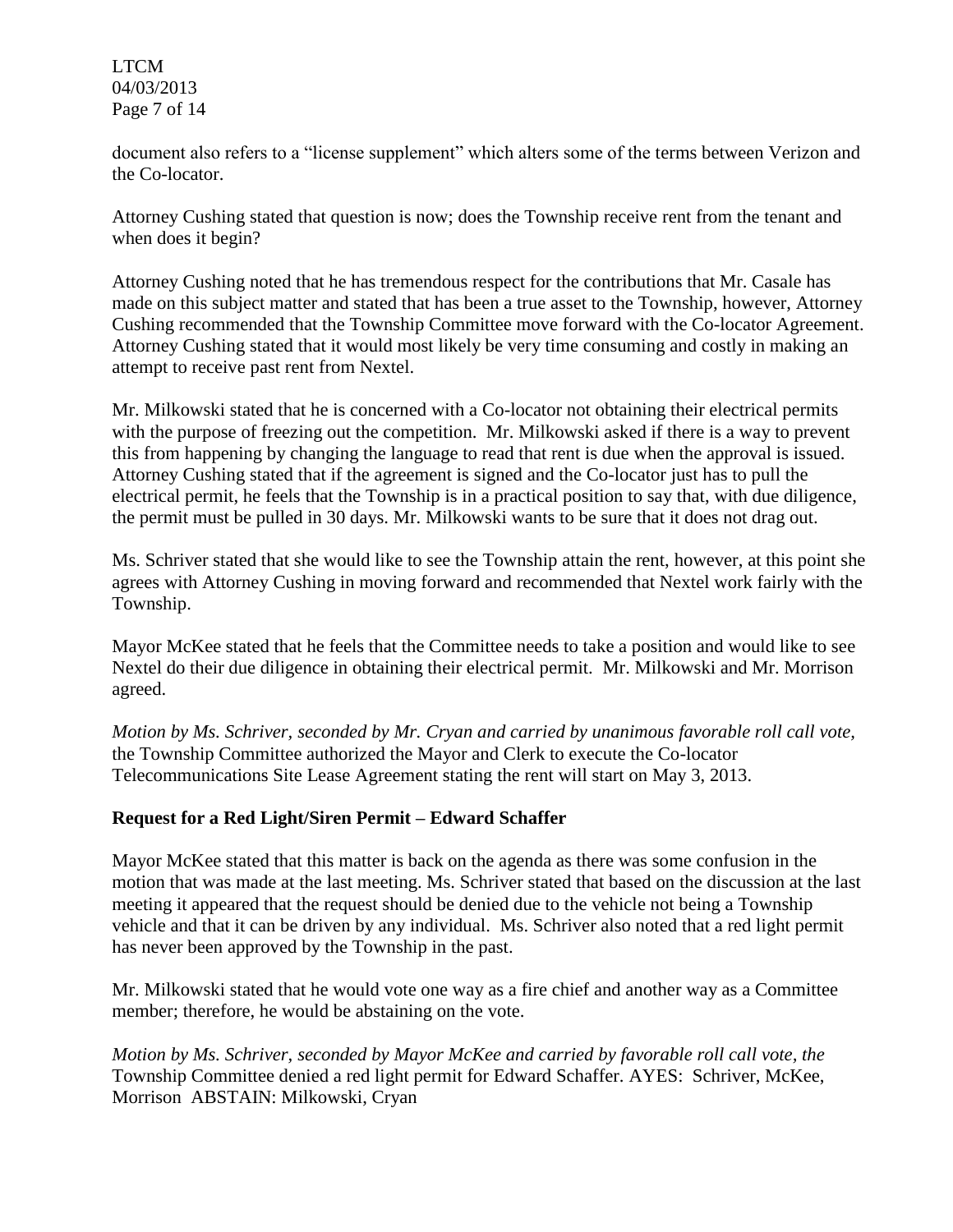LTCM 04/03/2013 Page 7 of 14

document also refers to a "license supplement" which alters some of the terms between Verizon and the Co-locator.

Attorney Cushing stated that question is now; does the Township receive rent from the tenant and when does it begin?

Attorney Cushing noted that he has tremendous respect for the contributions that Mr. Casale has made on this subject matter and stated that has been a true asset to the Township, however, Attorney Cushing recommended that the Township Committee move forward with the Co-locator Agreement. Attorney Cushing stated that it would most likely be very time consuming and costly in making an attempt to receive past rent from Nextel.

Mr. Milkowski stated that he is concerned with a Co-locator not obtaining their electrical permits with the purpose of freezing out the competition. Mr. Milkowski asked if there is a way to prevent this from happening by changing the language to read that rent is due when the approval is issued. Attorney Cushing stated that if the agreement is signed and the Co-locator just has to pull the electrical permit, he feels that the Township is in a practical position to say that, with due diligence, the permit must be pulled in 30 days. Mr. Milkowski wants to be sure that it does not drag out.

Ms. Schriver stated that she would like to see the Township attain the rent, however, at this point she agrees with Attorney Cushing in moving forward and recommended that Nextel work fairly with the Township.

Mayor McKee stated that he feels that the Committee needs to take a position and would like to see Nextel do their due diligence in obtaining their electrical permit. Mr. Milkowski and Mr. Morrison agreed.

*Motion by Ms. Schriver, seconded by Mr. Cryan and carried by unanimous favorable roll call vote,* the Township Committee authorized the Mayor and Clerk to execute the Co-locator Telecommunications Site Lease Agreement stating the rent will start on May 3, 2013.

# **Request for a Red Light/Siren Permit – Edward Schaffer**

Mayor McKee stated that this matter is back on the agenda as there was some confusion in the motion that was made at the last meeting. Ms. Schriver stated that based on the discussion at the last meeting it appeared that the request should be denied due to the vehicle not being a Township vehicle and that it can be driven by any individual. Ms. Schriver also noted that a red light permit has never been approved by the Township in the past.

Mr. Milkowski stated that he would vote one way as a fire chief and another way as a Committee member; therefore, he would be abstaining on the vote.

*Motion by Ms. Schriver, seconded by Mayor McKee and carried by favorable roll call vote, the* Township Committee denied a red light permit for Edward Schaffer. AYES: Schriver, McKee, Morrison ABSTAIN: Milkowski, Cryan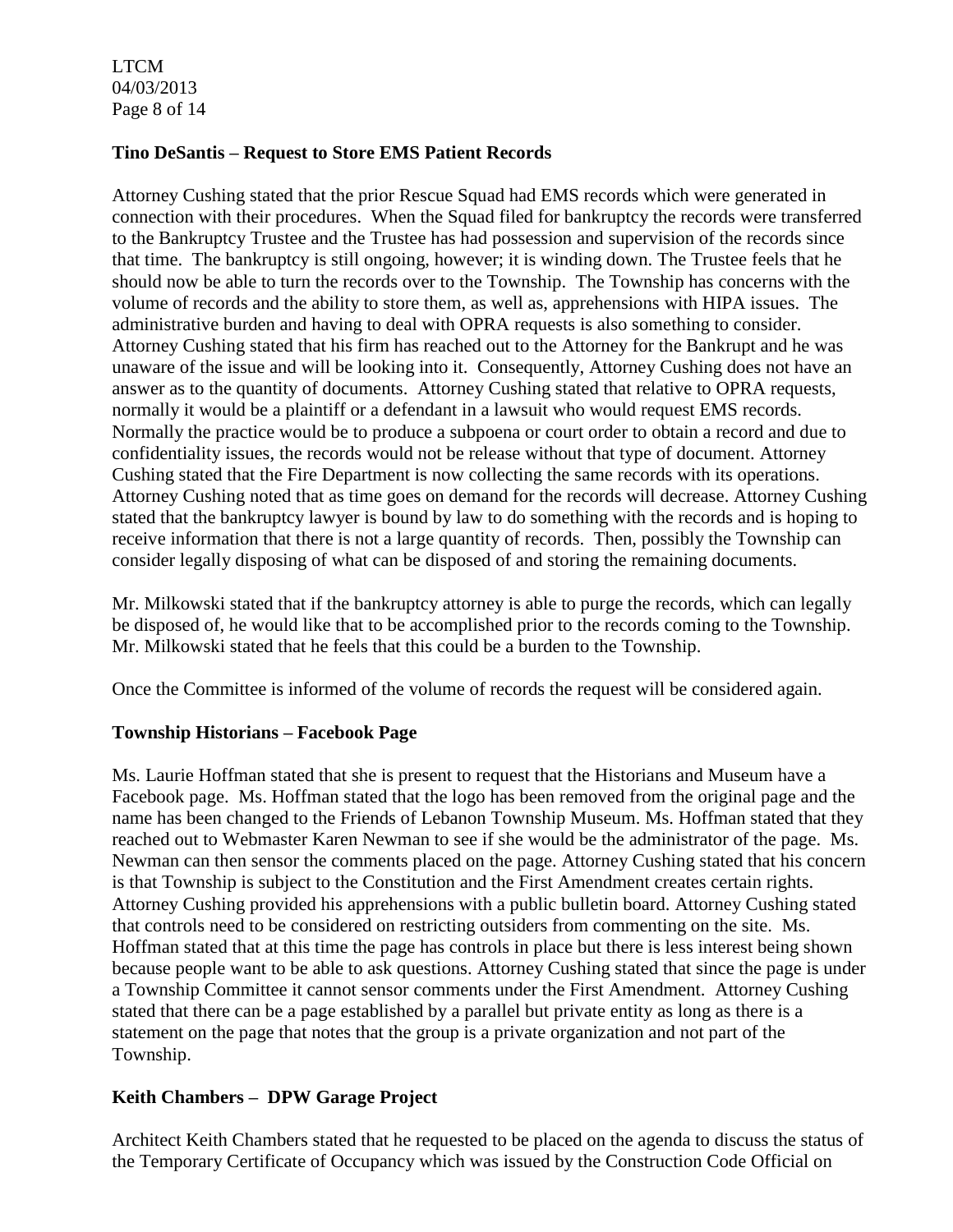LTCM 04/03/2013 Page 8 of 14

#### **Tino DeSantis – Request to Store EMS Patient Records**

Attorney Cushing stated that the prior Rescue Squad had EMS records which were generated in connection with their procedures. When the Squad filed for bankruptcy the records were transferred to the Bankruptcy Trustee and the Trustee has had possession and supervision of the records since that time. The bankruptcy is still ongoing, however; it is winding down. The Trustee feels that he should now be able to turn the records over to the Township. The Township has concerns with the volume of records and the ability to store them, as well as, apprehensions with HIPA issues. The administrative burden and having to deal with OPRA requests is also something to consider. Attorney Cushing stated that his firm has reached out to the Attorney for the Bankrupt and he was unaware of the issue and will be looking into it. Consequently, Attorney Cushing does not have an answer as to the quantity of documents. Attorney Cushing stated that relative to OPRA requests, normally it would be a plaintiff or a defendant in a lawsuit who would request EMS records. Normally the practice would be to produce a subpoena or court order to obtain a record and due to confidentiality issues, the records would not be release without that type of document. Attorney Cushing stated that the Fire Department is now collecting the same records with its operations. Attorney Cushing noted that as time goes on demand for the records will decrease. Attorney Cushing stated that the bankruptcy lawyer is bound by law to do something with the records and is hoping to receive information that there is not a large quantity of records. Then, possibly the Township can consider legally disposing of what can be disposed of and storing the remaining documents.

Mr. Milkowski stated that if the bankruptcy attorney is able to purge the records, which can legally be disposed of, he would like that to be accomplished prior to the records coming to the Township. Mr. Milkowski stated that he feels that this could be a burden to the Township.

Once the Committee is informed of the volume of records the request will be considered again.

#### **Township Historians – Facebook Page**

Ms. Laurie Hoffman stated that she is present to request that the Historians and Museum have a Facebook page. Ms. Hoffman stated that the logo has been removed from the original page and the name has been changed to the Friends of Lebanon Township Museum. Ms. Hoffman stated that they reached out to Webmaster Karen Newman to see if she would be the administrator of the page. Ms. Newman can then sensor the comments placed on the page. Attorney Cushing stated that his concern is that Township is subject to the Constitution and the First Amendment creates certain rights. Attorney Cushing provided his apprehensions with a public bulletin board. Attorney Cushing stated that controls need to be considered on restricting outsiders from commenting on the site. Ms. Hoffman stated that at this time the page has controls in place but there is less interest being shown because people want to be able to ask questions. Attorney Cushing stated that since the page is under a Township Committee it cannot sensor comments under the First Amendment. Attorney Cushing stated that there can be a page established by a parallel but private entity as long as there is a statement on the page that notes that the group is a private organization and not part of the Township.

# **Keith Chambers – DPW Garage Project**

Architect Keith Chambers stated that he requested to be placed on the agenda to discuss the status of the Temporary Certificate of Occupancy which was issued by the Construction Code Official on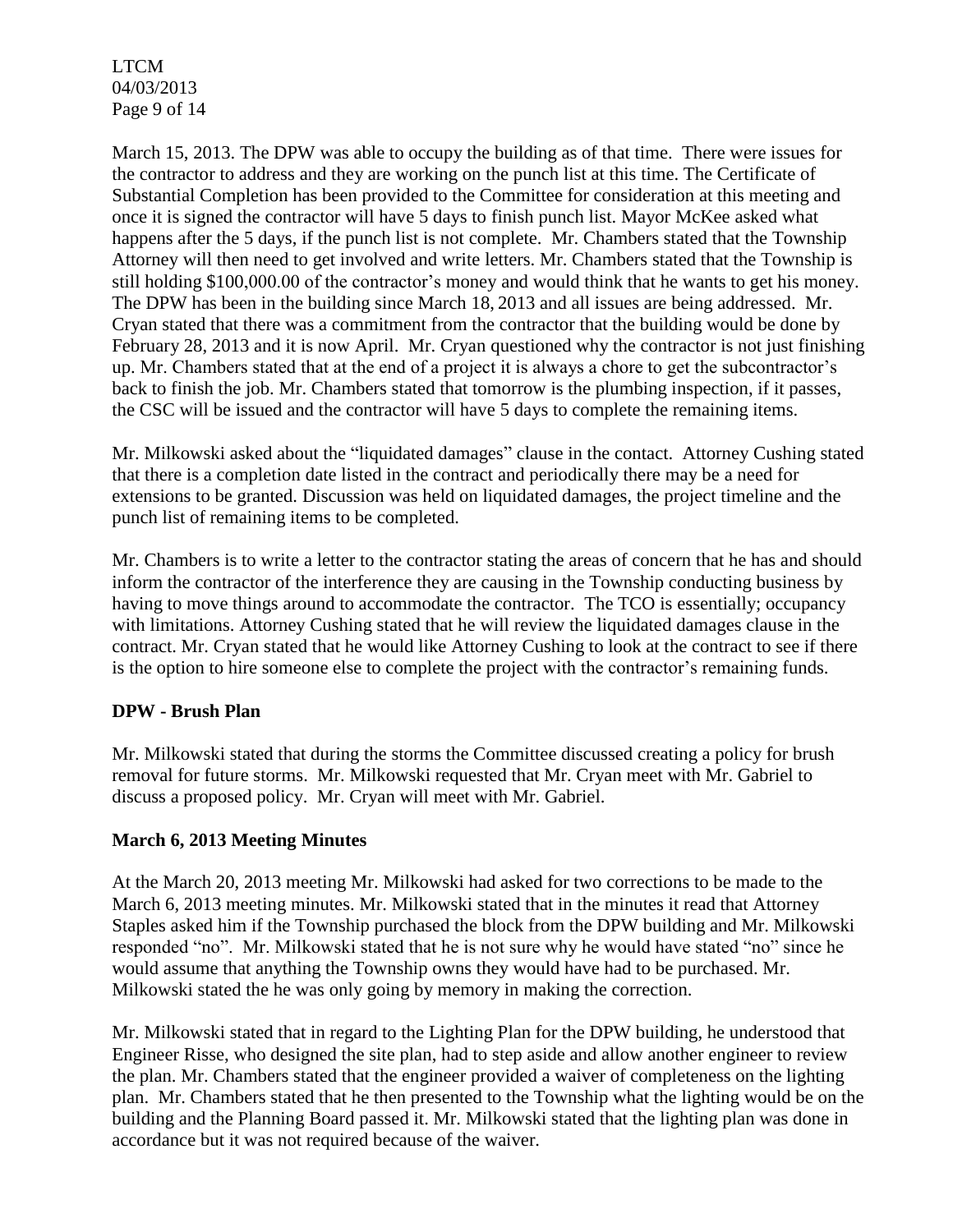LTCM 04/03/2013 Page 9 of 14

March 15, 2013. The DPW was able to occupy the building as of that time. There were issues for the contractor to address and they are working on the punch list at this time. The Certificate of Substantial Completion has been provided to the Committee for consideration at this meeting and once it is signed the contractor will have 5 days to finish punch list. Mayor McKee asked what happens after the 5 days, if the punch list is not complete. Mr. Chambers stated that the Township Attorney will then need to get involved and write letters. Mr. Chambers stated that the Township is still holding \$100,000.00 of the contractor's money and would think that he wants to get his money. The DPW has been in the building since March 18, 2013 and all issues are being addressed. Mr. Cryan stated that there was a commitment from the contractor that the building would be done by February 28, 2013 and it is now April. Mr. Cryan questioned why the contractor is not just finishing up. Mr. Chambers stated that at the end of a project it is always a chore to get the subcontractor's back to finish the job. Mr. Chambers stated that tomorrow is the plumbing inspection, if it passes, the CSC will be issued and the contractor will have 5 days to complete the remaining items.

Mr. Milkowski asked about the "liquidated damages" clause in the contact. Attorney Cushing stated that there is a completion date listed in the contract and periodically there may be a need for extensions to be granted. Discussion was held on liquidated damages, the project timeline and the punch list of remaining items to be completed.

Mr. Chambers is to write a letter to the contractor stating the areas of concern that he has and should inform the contractor of the interference they are causing in the Township conducting business by having to move things around to accommodate the contractor. The TCO is essentially; occupancy with limitations. Attorney Cushing stated that he will review the liquidated damages clause in the contract. Mr. Cryan stated that he would like Attorney Cushing to look at the contract to see if there is the option to hire someone else to complete the project with the contractor's remaining funds.

# **DPW - Brush Plan**

Mr. Milkowski stated that during the storms the Committee discussed creating a policy for brush removal for future storms. Mr. Milkowski requested that Mr. Cryan meet with Mr. Gabriel to discuss a proposed policy. Mr. Cryan will meet with Mr. Gabriel.

# **March 6, 2013 Meeting Minutes**

At the March 20, 2013 meeting Mr. Milkowski had asked for two corrections to be made to the March 6, 2013 meeting minutes. Mr. Milkowski stated that in the minutes it read that Attorney Staples asked him if the Township purchased the block from the DPW building and Mr. Milkowski responded "no". Mr. Milkowski stated that he is not sure why he would have stated "no" since he would assume that anything the Township owns they would have had to be purchased. Mr. Milkowski stated the he was only going by memory in making the correction.

Mr. Milkowski stated that in regard to the Lighting Plan for the DPW building, he understood that Engineer Risse, who designed the site plan, had to step aside and allow another engineer to review the plan. Mr. Chambers stated that the engineer provided a waiver of completeness on the lighting plan. Mr. Chambers stated that he then presented to the Township what the lighting would be on the building and the Planning Board passed it. Mr. Milkowski stated that the lighting plan was done in accordance but it was not required because of the waiver.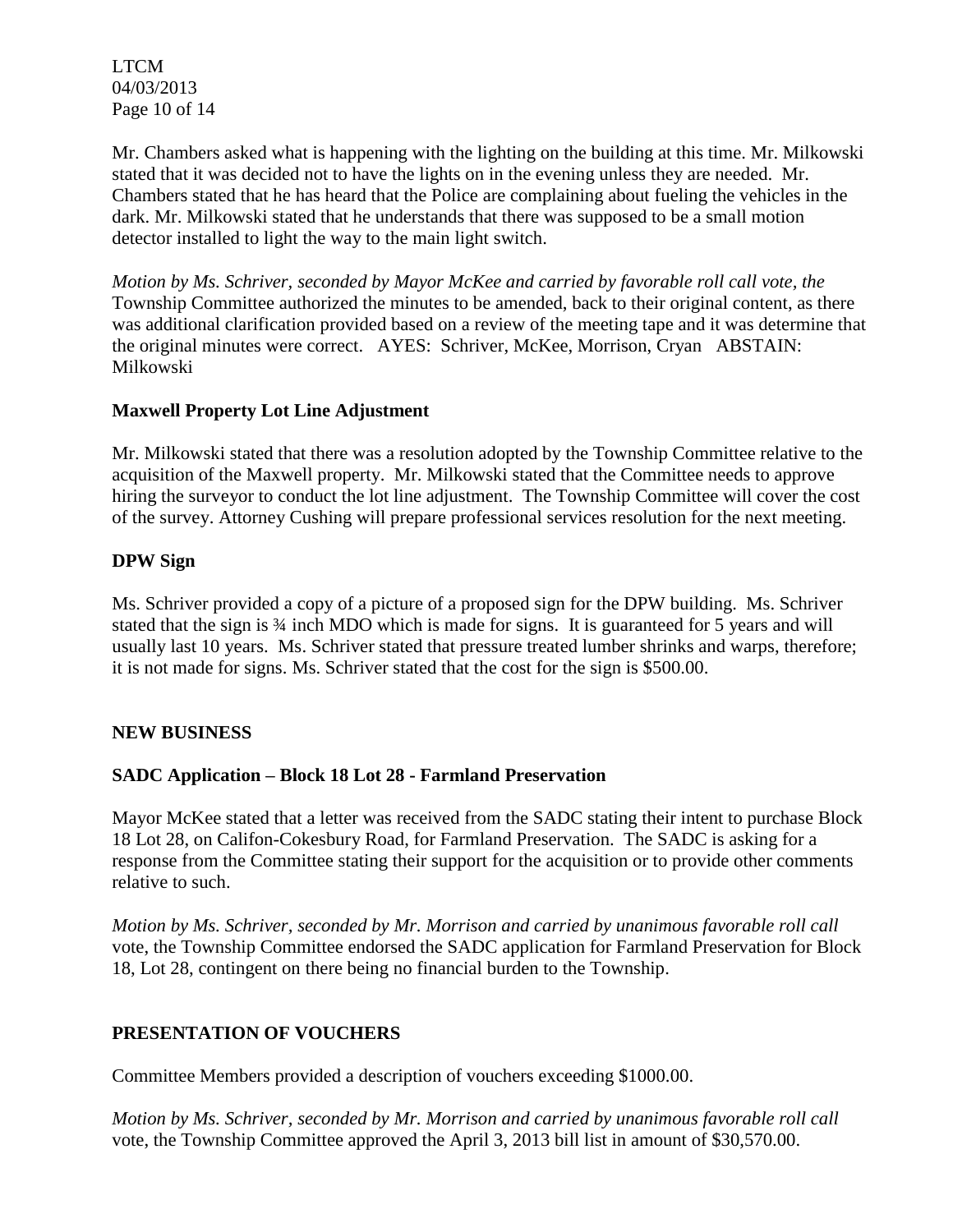LTCM 04/03/2013 Page 10 of 14

Mr. Chambers asked what is happening with the lighting on the building at this time. Mr. Milkowski stated that it was decided not to have the lights on in the evening unless they are needed. Mr. Chambers stated that he has heard that the Police are complaining about fueling the vehicles in the dark. Mr. Milkowski stated that he understands that there was supposed to be a small motion detector installed to light the way to the main light switch.

*Motion by Ms. Schriver, seconded by Mayor McKee and carried by favorable roll call vote, the* Township Committee authorized the minutes to be amended, back to their original content, as there was additional clarification provided based on a review of the meeting tape and it was determine that the original minutes were correct. AYES: Schriver, McKee, Morrison, Cryan ABSTAIN: Milkowski

#### **Maxwell Property Lot Line Adjustment**

Mr. Milkowski stated that there was a resolution adopted by the Township Committee relative to the acquisition of the Maxwell property. Mr. Milkowski stated that the Committee needs to approve hiring the surveyor to conduct the lot line adjustment. The Township Committee will cover the cost of the survey. Attorney Cushing will prepare professional services resolution for the next meeting.

#### **DPW Sign**

Ms. Schriver provided a copy of a picture of a proposed sign for the DPW building. Ms. Schriver stated that the sign is  $\frac{3}{4}$  inch MDO which is made for signs. It is guaranteed for 5 years and will usually last 10 years. Ms. Schriver stated that pressure treated lumber shrinks and warps, therefore; it is not made for signs. Ms. Schriver stated that the cost for the sign is \$500.00.

# **NEW BUSINESS**

# **SADC Application – Block 18 Lot 28 - Farmland Preservation**

Mayor McKee stated that a letter was received from the SADC stating their intent to purchase Block 18 Lot 28, on Califon-Cokesbury Road, for Farmland Preservation. The SADC is asking for a response from the Committee stating their support for the acquisition or to provide other comments relative to such.

*Motion by Ms. Schriver, seconded by Mr. Morrison and carried by unanimous favorable roll call*  vote, the Township Committee endorsed the SADC application for Farmland Preservation for Block 18, Lot 28, contingent on there being no financial burden to the Township.

# **PRESENTATION OF VOUCHERS**

Committee Members provided a description of vouchers exceeding \$1000.00.

*Motion by Ms. Schriver, seconded by Mr. Morrison and carried by unanimous favorable roll call*  vote, the Township Committee approved the April 3, 2013 bill list in amount of \$30,570.00.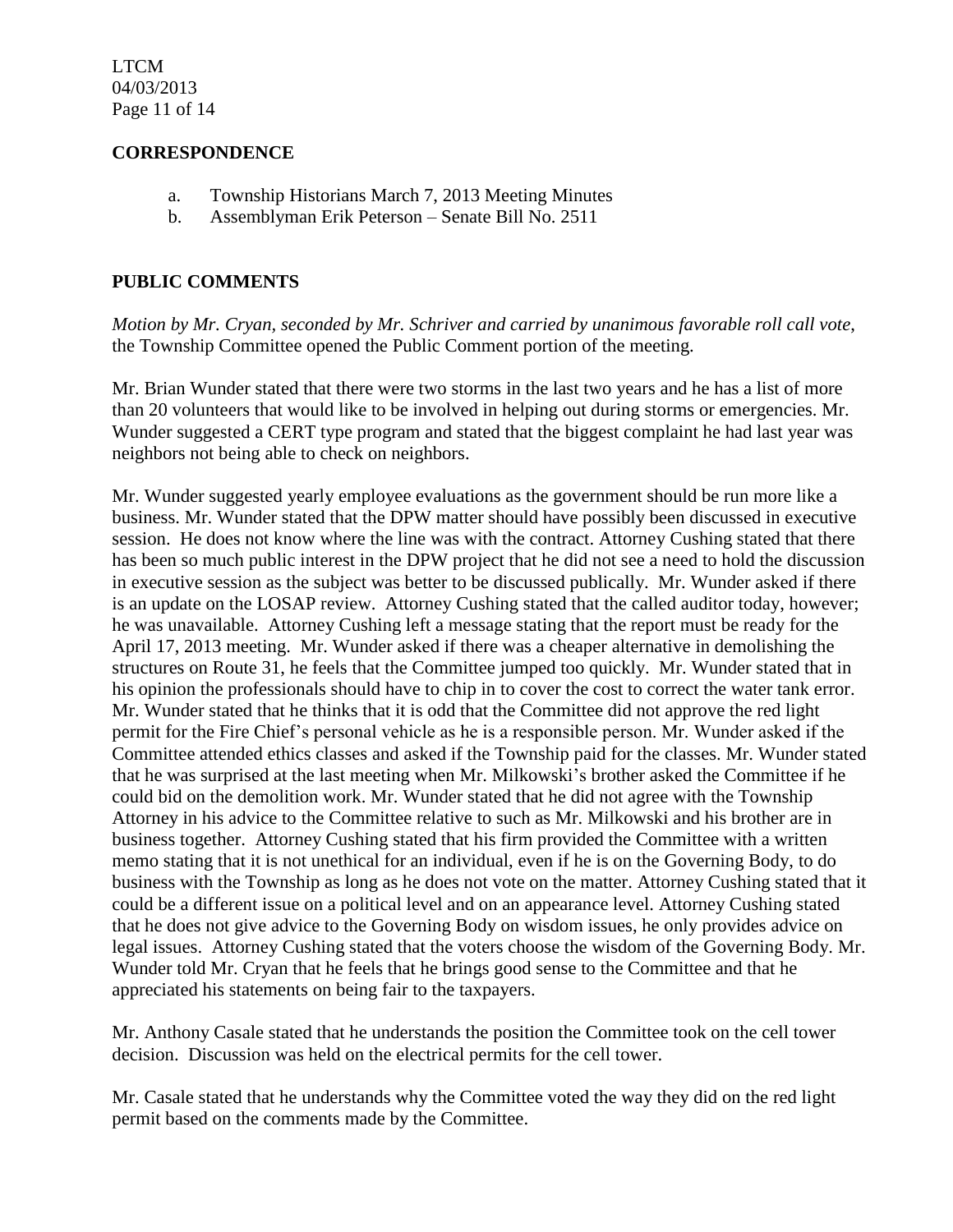LTCM 04/03/2013 Page 11 of 14

#### **CORRESPONDENCE**

- a. Township Historians March 7, 2013 Meeting Minutes
- b. Assemblyman Erik Peterson Senate Bill No. 2511

#### **PUBLIC COMMENTS**

*Motion by Mr. Cryan, seconded by Mr. Schriver and carried by unanimous favorable roll call vote*, the Township Committee opened the Public Comment portion of the meeting.

Mr. Brian Wunder stated that there were two storms in the last two years and he has a list of more than 20 volunteers that would like to be involved in helping out during storms or emergencies. Mr. Wunder suggested a CERT type program and stated that the biggest complaint he had last year was neighbors not being able to check on neighbors.

Mr. Wunder suggested yearly employee evaluations as the government should be run more like a business. Mr. Wunder stated that the DPW matter should have possibly been discussed in executive session. He does not know where the line was with the contract. Attorney Cushing stated that there has been so much public interest in the DPW project that he did not see a need to hold the discussion in executive session as the subject was better to be discussed publically. Mr. Wunder asked if there is an update on the LOSAP review. Attorney Cushing stated that the called auditor today, however; he was unavailable. Attorney Cushing left a message stating that the report must be ready for the April 17, 2013 meeting. Mr. Wunder asked if there was a cheaper alternative in demolishing the structures on Route 31, he feels that the Committee jumped too quickly. Mr. Wunder stated that in his opinion the professionals should have to chip in to cover the cost to correct the water tank error. Mr. Wunder stated that he thinks that it is odd that the Committee did not approve the red light permit for the Fire Chief's personal vehicle as he is a responsible person. Mr. Wunder asked if the Committee attended ethics classes and asked if the Township paid for the classes. Mr. Wunder stated that he was surprised at the last meeting when Mr. Milkowski's brother asked the Committee if he could bid on the demolition work. Mr. Wunder stated that he did not agree with the Township Attorney in his advice to the Committee relative to such as Mr. Milkowski and his brother are in business together. Attorney Cushing stated that his firm provided the Committee with a written memo stating that it is not unethical for an individual, even if he is on the Governing Body, to do business with the Township as long as he does not vote on the matter. Attorney Cushing stated that it could be a different issue on a political level and on an appearance level. Attorney Cushing stated that he does not give advice to the Governing Body on wisdom issues, he only provides advice on legal issues. Attorney Cushing stated that the voters choose the wisdom of the Governing Body. Mr. Wunder told Mr. Cryan that he feels that he brings good sense to the Committee and that he appreciated his statements on being fair to the taxpayers.

Mr. Anthony Casale stated that he understands the position the Committee took on the cell tower decision. Discussion was held on the electrical permits for the cell tower.

Mr. Casale stated that he understands why the Committee voted the way they did on the red light permit based on the comments made by the Committee.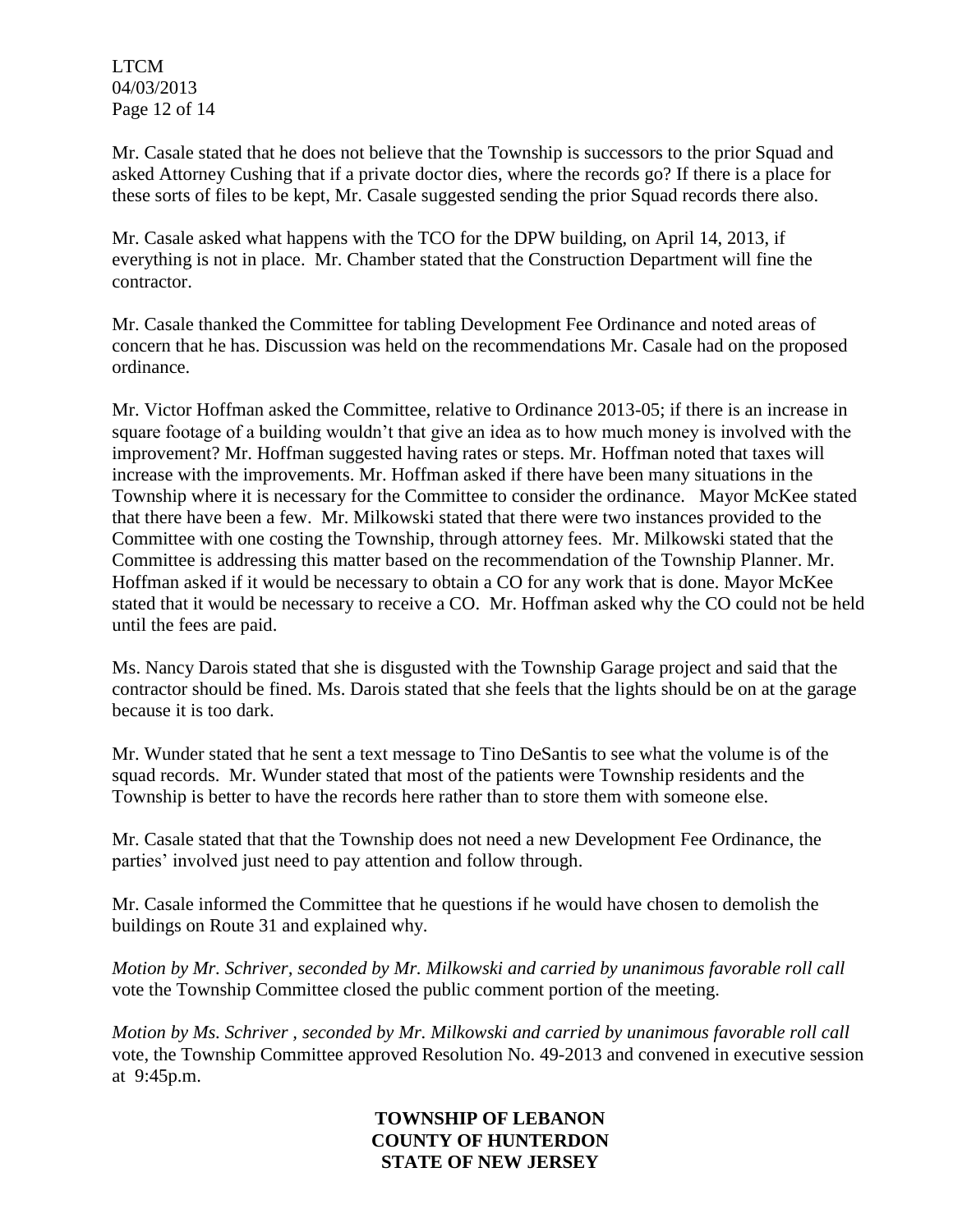LTCM 04/03/2013 Page 12 of 14

Mr. Casale stated that he does not believe that the Township is successors to the prior Squad and asked Attorney Cushing that if a private doctor dies, where the records go? If there is a place for these sorts of files to be kept, Mr. Casale suggested sending the prior Squad records there also.

Mr. Casale asked what happens with the TCO for the DPW building, on April 14, 2013, if everything is not in place. Mr. Chamber stated that the Construction Department will fine the contractor.

Mr. Casale thanked the Committee for tabling Development Fee Ordinance and noted areas of concern that he has. Discussion was held on the recommendations Mr. Casale had on the proposed ordinance.

Mr. Victor Hoffman asked the Committee, relative to Ordinance 2013-05; if there is an increase in square footage of a building wouldn't that give an idea as to how much money is involved with the improvement? Mr. Hoffman suggested having rates or steps. Mr. Hoffman noted that taxes will increase with the improvements. Mr. Hoffman asked if there have been many situations in the Township where it is necessary for the Committee to consider the ordinance. Mayor McKee stated that there have been a few. Mr. Milkowski stated that there were two instances provided to the Committee with one costing the Township, through attorney fees. Mr. Milkowski stated that the Committee is addressing this matter based on the recommendation of the Township Planner. Mr. Hoffman asked if it would be necessary to obtain a CO for any work that is done. Mayor McKee stated that it would be necessary to receive a CO. Mr. Hoffman asked why the CO could not be held until the fees are paid.

Ms. Nancy Darois stated that she is disgusted with the Township Garage project and said that the contractor should be fined. Ms. Darois stated that she feels that the lights should be on at the garage because it is too dark.

Mr. Wunder stated that he sent a text message to Tino DeSantis to see what the volume is of the squad records. Mr. Wunder stated that most of the patients were Township residents and the Township is better to have the records here rather than to store them with someone else.

Mr. Casale stated that that the Township does not need a new Development Fee Ordinance, the parties' involved just need to pay attention and follow through.

Mr. Casale informed the Committee that he questions if he would have chosen to demolish the buildings on Route 31 and explained why.

*Motion by Mr. Schriver, seconded by Mr. Milkowski and carried by unanimous favorable roll call*  vote the Township Committee closed the public comment portion of the meeting.

*Motion by Ms. Schriver , seconded by Mr. Milkowski and carried by unanimous favorable roll call*  vote, the Township Committee approved Resolution No. 49-2013 and convened in executive session at 9:45p.m.

> **TOWNSHIP OF LEBANON COUNTY OF HUNTERDON STATE OF NEW JERSEY**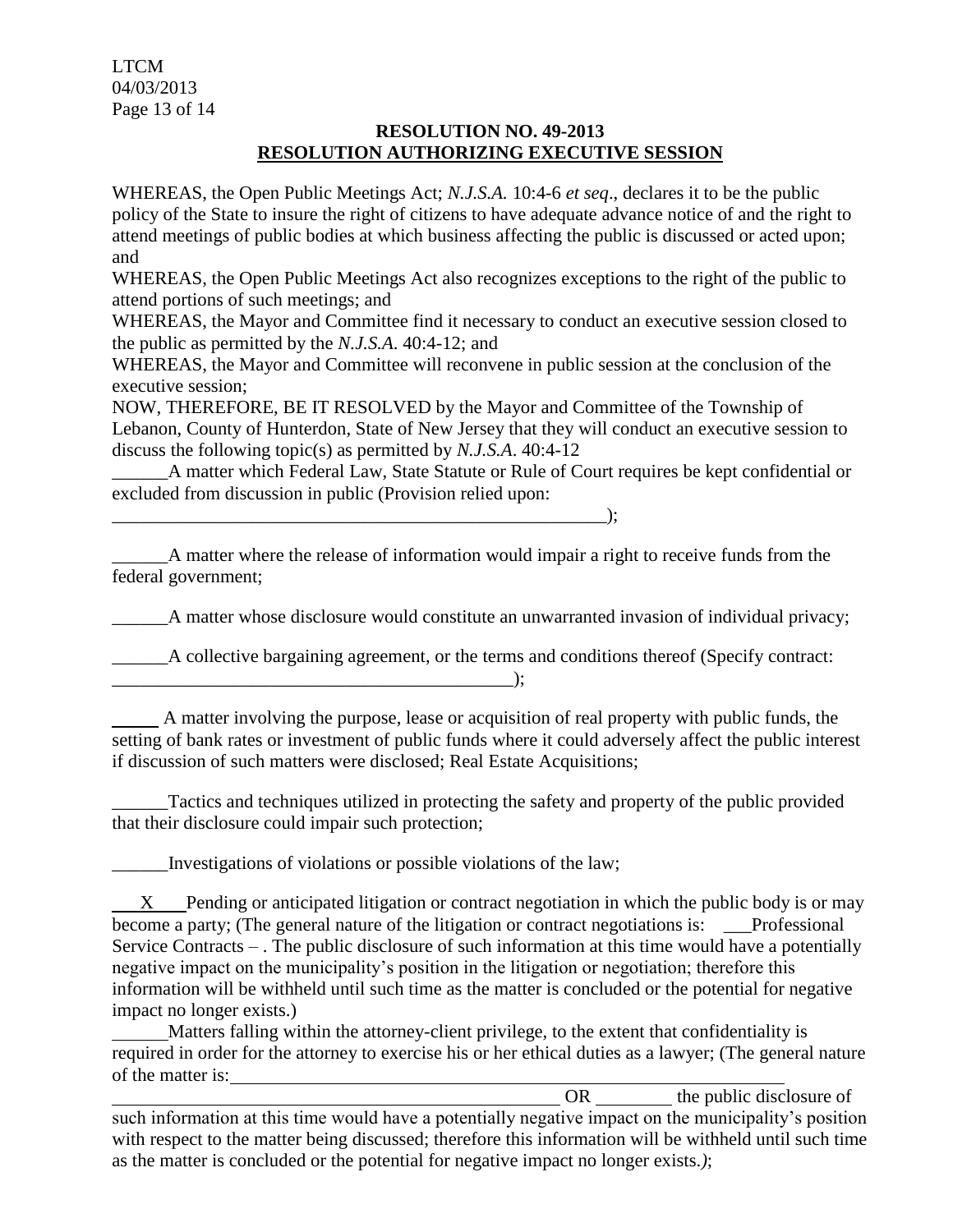LTCM 04/03/2013 Page 13 of 14

# **RESOLUTION NO. 49-2013 RESOLUTION AUTHORIZING EXECUTIVE SESSION**

WHEREAS, the Open Public Meetings Act; *N.J.S.A.* 10:4-6 *et seq*., declares it to be the public policy of the State to insure the right of citizens to have adequate advance notice of and the right to attend meetings of public bodies at which business affecting the public is discussed or acted upon; and

WHEREAS, the Open Public Meetings Act also recognizes exceptions to the right of the public to attend portions of such meetings; and

WHEREAS, the Mayor and Committee find it necessary to conduct an executive session closed to the public as permitted by the *N.J.S.A*. 40:4-12; and

WHEREAS, the Mayor and Committee will reconvene in public session at the conclusion of the executive session;

NOW, THEREFORE, BE IT RESOLVED by the Mayor and Committee of the Township of Lebanon, County of Hunterdon, State of New Jersey that they will conduct an executive session to discuss the following topic(s) as permitted by *N.J.S.A*. 40:4-12

A matter which Federal Law, State Statute or Rule of Court requires be kept confidential or excluded from discussion in public (Provision relied upon:

 $\qquad \qquad$  ):

A matter where the release of information would impair a right to receive funds from the federal government;

\_\_\_\_\_\_A matter whose disclosure would constitute an unwarranted invasion of individual privacy;

\_\_\_\_\_\_A collective bargaining agreement, or the terms and conditions thereof (Specify contract:

 A matter involving the purpose, lease or acquisition of real property with public funds, the setting of bank rates or investment of public funds where it could adversely affect the public interest if discussion of such matters were disclosed; Real Estate Acquisitions;

Tactics and techniques utilized in protecting the safety and property of the public provided that their disclosure could impair such protection;

\_\_\_\_\_\_Investigations of violations or possible violations of the law;

 $\qquad \qquad )$ ;

 X Pending or anticipated litigation or contract negotiation in which the public body is or may become a party; (The general nature of the litigation or contract negotiations is: \_\_\_Professional Service Contracts – . The public disclosure of such information at this time would have a potentially negative impact on the municipality's position in the litigation or negotiation; therefore this information will be withheld until such time as the matter is concluded or the potential for negative impact no longer exists.)

 Matters falling within the attorney-client privilege, to the extent that confidentiality is required in order for the attorney to exercise his or her ethical duties as a lawyer; (The general nature of the matter is:

OR the public disclosure of such information at this time would have a potentially negative impact on the municipality's position with respect to the matter being discussed; therefore this information will be withheld until such time as the matter is concluded or the potential for negative impact no longer exists.*)*;